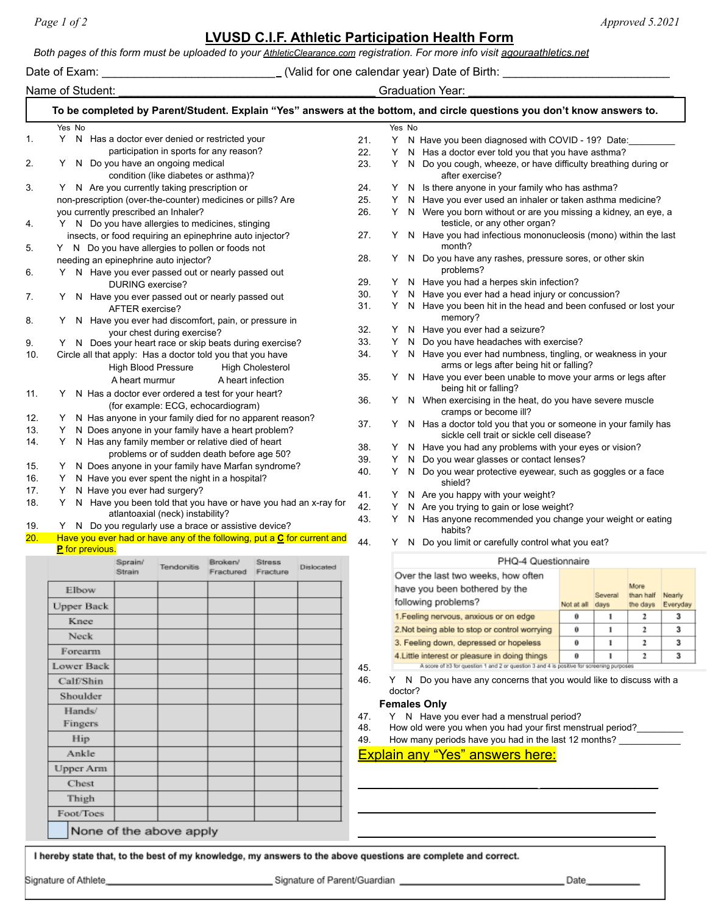## **LVUSD C.I.F. Athletic Participation Health Form**

*Both pages of this form must be uploaded to your [AthleticClearance.com](http://athleticclearance.com/) registration. For more info visit agouraathletics.net*

Date of Exam: \_\_\_\_\_\_\_\_\_\_\_\_\_\_\_\_\_\_\_\_\_\_\_\_\_\_\_ (Valid for one calendar year) Date of Birth: \_\_\_\_\_\_\_\_\_\_\_\_\_\_\_\_\_\_\_\_\_\_\_\_\_\_

Name of Student:  $\blacksquare$ 

| Yes No                                                                                              | To be completed by Parent/Student. Explain "Yes" answers at the bottom, and circle questions you don't know answers to. |                   |                      |                         |            |     |        | Yes No                                                                                                            |                                                                                           |                                                                                                                            |         |                   |  |  |
|-----------------------------------------------------------------------------------------------------|-------------------------------------------------------------------------------------------------------------------------|-------------------|----------------------|-------------------------|------------|-----|--------|-------------------------------------------------------------------------------------------------------------------|-------------------------------------------------------------------------------------------|----------------------------------------------------------------------------------------------------------------------------|---------|-------------------|--|--|
|                                                                                                     | Y N Has a doctor ever denied or restricted your                                                                         |                   |                      |                         |            | 21. | Y.     |                                                                                                                   | N Have you been diagnosed with COVID - 19? Date:                                          |                                                                                                                            |         |                   |  |  |
|                                                                                                     | participation in sports for any reason?                                                                                 |                   |                      |                         |            | 22. | Y      |                                                                                                                   | N Has a doctor ever told you that you have asthma?                                        |                                                                                                                            |         |                   |  |  |
|                                                                                                     | N Do you have an ongoing medical                                                                                        |                   |                      |                         |            | 23. | Y      |                                                                                                                   | N Do you cough, wheeze, or have difficulty breathing during or                            |                                                                                                                            |         |                   |  |  |
|                                                                                                     | condition (like diabetes or asthma)?                                                                                    |                   |                      |                         |            |     |        |                                                                                                                   | after exercise?                                                                           |                                                                                                                            |         |                   |  |  |
|                                                                                                     | Y N Are you currently taking prescription or                                                                            |                   |                      |                         |            | 24. | Y.     |                                                                                                                   | N Is there anyone in your family who has asthma?                                          |                                                                                                                            |         |                   |  |  |
| non-prescription (over-the-counter) medicines or pills? Are<br>you currently prescribed an Inhaler? |                                                                                                                         |                   |                      |                         |            | 25. | Y<br>Y |                                                                                                                   | N Have you ever used an inhaler or taken asthma medicine?                                 |                                                                                                                            |         |                   |  |  |
|                                                                                                     | Y N Do you have allergies to medicines, stinging                                                                        |                   |                      |                         |            | 26. |        | N Were you born without or are you missing a kidney, an eye, a<br>testicle, or any other organ?                   |                                                                                           |                                                                                                                            |         |                   |  |  |
| Y N Do you have allergies to pollen or foods not                                                    | insects, or food requiring an epinephrine auto injector?                                                                |                   |                      |                         |            | 27. |        |                                                                                                                   | month?                                                                                    | N Have you had infectious mononucleosis (mono) within the last                                                             |         |                   |  |  |
| needing an epinephrine auto injector?<br>Y                                                          | N Have you ever passed out or nearly passed out                                                                         |                   |                      |                         |            | 28. | Y      | N Do you have any rashes, pressure sores, or other skin<br>problems?                                              |                                                                                           |                                                                                                                            |         |                   |  |  |
|                                                                                                     | DURING exercise?                                                                                                        |                   |                      |                         |            | 29. | Y      | N Have you had a herpes skin infection?                                                                           |                                                                                           |                                                                                                                            |         |                   |  |  |
|                                                                                                     | Y N Have you ever passed out or nearly passed out                                                                       |                   |                      |                         |            | 30. | Y      |                                                                                                                   | N Have you ever had a head injury or concussion?                                          |                                                                                                                            |         |                   |  |  |
|                                                                                                     | AFTER exercise?<br>Y N Have you ever had discomfort, pain, or pressure in                                               |                   |                      |                         |            | 31. | Y.     |                                                                                                                   | N Have you been hit in the head and been confused or lost your<br>memory?                 |                                                                                                                            |         |                   |  |  |
|                                                                                                     | your chest during exercise?                                                                                             |                   |                      |                         |            | 32. | Y.     |                                                                                                                   | N Have you ever had a seizure?                                                            |                                                                                                                            |         |                   |  |  |
|                                                                                                     | N Does your heart race or skip beats during exercise?                                                                   |                   |                      |                         |            | 33. | Y.     | N                                                                                                                 | Do you have headaches with exercise?                                                      |                                                                                                                            |         |                   |  |  |
| Circle all that apply: Has a doctor told you that you have                                          |                                                                                                                         |                   |                      |                         |            | 34. |        |                                                                                                                   |                                                                                           | N Have you ever had numbness, tingling, or weakness in your<br>N Have you ever been unable to move your arms or legs after |         |                   |  |  |
|                                                                                                     | High Blood Pressure                                                                                                     |                   |                      | <b>High Cholesterol</b> |            | 35. | Y      |                                                                                                                   | arms or legs after being hit or falling?                                                  |                                                                                                                            |         |                   |  |  |
|                                                                                                     | A heart murmur<br>Y N Has a doctor ever ordered a test for your heart?                                                  |                   | A heart infection    |                         |            | 36. |        |                                                                                                                   | being hit or falling?                                                                     |                                                                                                                            |         |                   |  |  |
| Y.                                                                                                  | (for example: ECG, echocardiogram)<br>N Has anyone in your family died for no apparent reason?                          |                   |                      |                         |            | 37. |        | N When exercising in the heat, do you have severe muscle<br>cramps or become ill?                                 |                                                                                           |                                                                                                                            |         |                   |  |  |
| Y.<br>Y.                                                                                            | N Does anyone in your family have a heart problem?<br>N Has any family member or relative died of heart                 |                   |                      |                         |            |     |        | N Has a doctor told you that you or someone in your family has<br>Y.<br>sickle cell trait or sickle cell disease? |                                                                                           |                                                                                                                            |         |                   |  |  |
|                                                                                                     | problems or of sudden death before age 50?                                                                              |                   |                      |                         |            | 38. | Y      |                                                                                                                   | N Have you had any problems with your eyes or vision?                                     |                                                                                                                            |         |                   |  |  |
| Y.                                                                                                  | N Does anyone in your family have Marfan syndrome?                                                                      |                   |                      |                         |            | 39. | Y      | N                                                                                                                 | Do you wear glasses or contact lenses?                                                    |                                                                                                                            |         |                   |  |  |
|                                                                                                     | Y N Have you ever spent the night in a hospital?                                                                        |                   |                      |                         |            | 40. | Y      | N                                                                                                                 | Do you wear protective eyewear, such as goggles or a face<br>shield?                      |                                                                                                                            |         |                   |  |  |
| Y.                                                                                                  | N Have you ever had surgery?                                                                                            |                   |                      |                         |            | 41. | Y      |                                                                                                                   | N Are you happy with your weight?                                                         |                                                                                                                            |         |                   |  |  |
| Y                                                                                                   | N Have you been told that you have or have you had an x-ray for                                                         |                   |                      |                         |            | 42. | Y      |                                                                                                                   | N Are you trying to gain or lose weight?                                                  |                                                                                                                            |         |                   |  |  |
|                                                                                                     | atlantoaxial (neck) instability?                                                                                        |                   |                      |                         |            | 43. | Y      |                                                                                                                   | N Has anyone recommended you change your weight or eating                                 |                                                                                                                            |         |                   |  |  |
|                                                                                                     | Y N Do you regularly use a brace or assistive device?                                                                   |                   |                      |                         |            |     |        |                                                                                                                   | habits?                                                                                   |                                                                                                                            |         |                   |  |  |
| Have you ever had or have any of the following, put a C for current and<br><b>P</b> for previous.   |                                                                                                                         |                   |                      |                         |            | 44. | Y      |                                                                                                                   | N Do you limit or carefully control what you eat?                                         |                                                                                                                            |         |                   |  |  |
|                                                                                                     | Sprain/<br>Strain                                                                                                       | <b>Tendonitis</b> | Broken/<br>Fractured | Stress<br>Fracture      | Dislocated |     |        |                                                                                                                   | PHQ-4 Questionnaire                                                                       |                                                                                                                            |         |                   |  |  |
|                                                                                                     |                                                                                                                         |                   |                      |                         |            |     |        |                                                                                                                   | Over the last two weeks, how often                                                        |                                                                                                                            |         |                   |  |  |
| Elbow                                                                                               |                                                                                                                         |                   |                      |                         |            |     |        |                                                                                                                   | have you been bothered by the                                                             |                                                                                                                            | Several | More<br>than half |  |  |
|                                                                                                     |                                                                                                                         |                   |                      |                         |            |     |        |                                                                                                                   | following problems?                                                                       | Not at all days                                                                                                            |         | the days          |  |  |
|                                                                                                     |                                                                                                                         |                   |                      |                         |            |     |        |                                                                                                                   | 1. Feeling nervous, anxious or on edge                                                    | ō                                                                                                                          | 1       | 2                 |  |  |
| <b>Upper Back</b>                                                                                   |                                                                                                                         |                   |                      |                         |            |     |        |                                                                                                                   |                                                                                           | ō                                                                                                                          | 1       | 2                 |  |  |
| Knee                                                                                                |                                                                                                                         |                   |                      |                         |            |     |        |                                                                                                                   | 2.Not being able to stop or control worrying                                              |                                                                                                                            |         | 2                 |  |  |
| Neck                                                                                                |                                                                                                                         |                   |                      |                         |            |     |        |                                                                                                                   | 3. Feeling down, depressed or hopeless                                                    | 0                                                                                                                          | 1       |                   |  |  |
| Forearm                                                                                             |                                                                                                                         |                   |                      |                         |            |     |        |                                                                                                                   | 4. Little interest or pleasure in doing things                                            | ō                                                                                                                          |         | 2                 |  |  |
| Lower Back                                                                                          |                                                                                                                         |                   |                      |                         |            | 45. |        |                                                                                                                   | A score of 23 for question 1 and 2 or question 3 and 4 is positive for screening purposes |                                                                                                                            |         |                   |  |  |
| Calf/Shin                                                                                           |                                                                                                                         |                   |                      |                         |            | 46. |        |                                                                                                                   | Y N Do you have any concerns that you would like to discuss with a                        |                                                                                                                            |         |                   |  |  |
| Shoulder                                                                                            |                                                                                                                         |                   |                      |                         |            |     |        | doctor?                                                                                                           |                                                                                           |                                                                                                                            |         |                   |  |  |
|                                                                                                     |                                                                                                                         |                   |                      |                         |            |     |        |                                                                                                                   | <b>Females Only</b>                                                                       |                                                                                                                            |         |                   |  |  |
| Hands/                                                                                              |                                                                                                                         |                   |                      |                         |            | 47. |        |                                                                                                                   | Y N Have you ever had a menstrual period?                                                 |                                                                                                                            |         |                   |  |  |
| Fingers                                                                                             |                                                                                                                         |                   |                      |                         |            | 48. |        |                                                                                                                   | How old were you when you had your first menstrual period?                                |                                                                                                                            |         |                   |  |  |
| Hip                                                                                                 |                                                                                                                         |                   |                      |                         |            | 49. |        |                                                                                                                   | How many periods have you had in the last 12 months? ____________                         |                                                                                                                            |         |                   |  |  |
| Ankle                                                                                               |                                                                                                                         |                   |                      |                         |            |     |        |                                                                                                                   | <b>Explain any "Yes" answers here:</b>                                                    |                                                                                                                            |         |                   |  |  |
| Upper Arm                                                                                           |                                                                                                                         |                   |                      |                         |            |     |        |                                                                                                                   |                                                                                           |                                                                                                                            |         |                   |  |  |
| Chest                                                                                               |                                                                                                                         |                   |                      |                         |            |     |        |                                                                                                                   |                                                                                           |                                                                                                                            |         |                   |  |  |
| Thigh                                                                                               |                                                                                                                         |                   |                      |                         |            |     |        |                                                                                                                   |                                                                                           |                                                                                                                            |         |                   |  |  |
| Foot/Toes                                                                                           |                                                                                                                         |                   |                      |                         |            |     |        |                                                                                                                   |                                                                                           |                                                                                                                            |         |                   |  |  |

Signature of Athlete